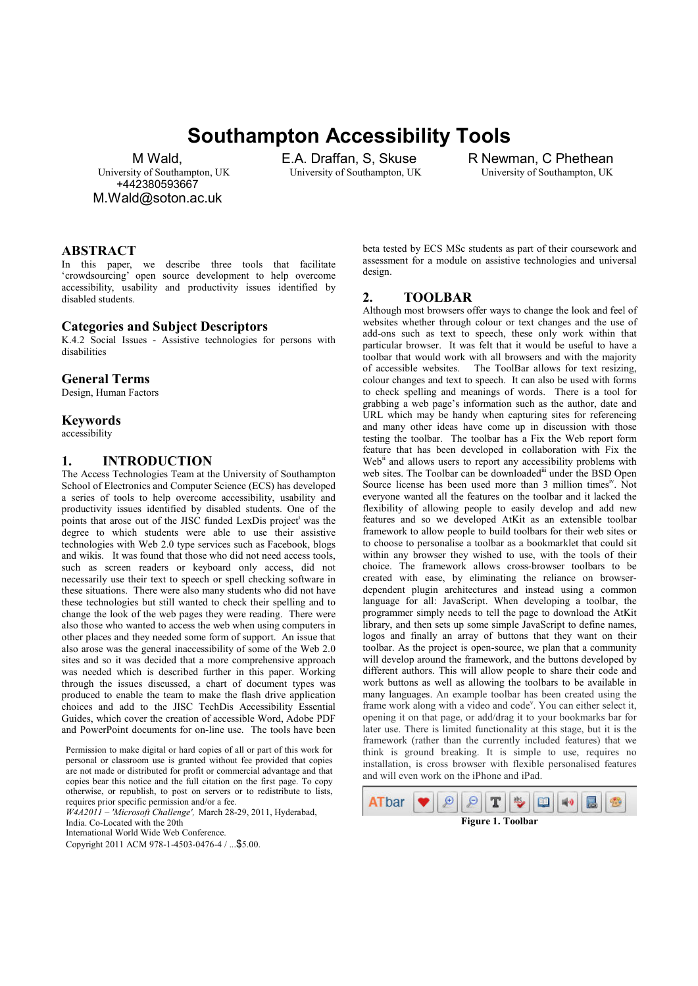# **Southampton Accessibility Tools**

M Wald, University of Southampton, UK +442380593667 M.Wald@soton.ac.uk

E.A. Draffan, S, Skuse University of Southampton, UK R Newman, C Phethean University of Southampton, UK

### **ABSTRACT**

In this paper, we describe three tools that facilitate 'crowdsourcing' open source development to help overcome accessibility, usability and productivity issues identified by disabled students.

#### **Categories and Subject Descriptors**

K.4.2 Social Issues - Assistive technologies for persons with disabilities

## **General Terms**

Design, Human Factors

#### **Keywords**

accessibility

# **1. INTRODUCTION**

The Access Technologies Team at the University of Southampton School of Electronics and Computer Science (ECS) has developed a series of tools to help overcome accessibility, usability and productivity issues identified by disabled students. One of the points that arose out of the JISC funded LexDis project<sup>i</sup> was the degree to which students were able to use their assistive technologies with Web 2.0 type services such as Facebook, blogs and wikis. It was found that those who did not need access tools, such as screen readers or keyboard only access, did not necessarily use their text to speech or spell checking software in these situations. There were also many students who did not have these technologies but still wanted to check their spelling and to change the look of the web pages they were reading. There were also those who wanted to access the web when using computers in other places and they needed some form of support. An issue that also arose was the general inaccessibility of some of the Web 2.0 sites and so it was decided that a more comprehensive approach was needed which is described further in this paper. Working through the issues discussed, a chart of document types was produced to enable the team to make the flash drive application choices and add to the JISC TechDis Accessibility Essential Guides, which cover the creation of accessible Word, Adobe PDF and PowerPoint documents for on-line use. The tools have been

Permission to make digital or hard copies of all or part of this work for personal or classroom use is granted without fee provided that copies are not made or distributed for profit or commercial advantage and that copies bear this notice and the full citation on the first page. To copy otherwise, or republish, to post on servers or to redistribute to lists, requires prior specific permission and/or a fee.

*W4A2011 – 'Microsoft Challenge',* March 28-29, 2011, Hyderabad,

India. Co-Located with the 20th

International World Wide Web Conference.

Copyright 2011 ACM 978-1-4503-0476-4 / ...\$5.00.

beta tested by ECS MSc students as part of their coursework and assessment for a module on assistive technologies and universal design.

#### **2. TOOLBAR**

Although most browsers offer ways to change the look and feel of websites whether through colour or text changes and the use of add-ons such as text to speech, these only work within that particular browser. It was felt that it would be useful to have a toolbar that would work with all browsers and with the majority of accessible websites. The ToolBar allows for text resizing, colour changes and text to speech. It can also be used with forms to check spelling and meanings of words. There is a tool for grabbing a web page's information such as the author, date and URL which may be handy when capturing sites for referencing and many other ideas have come up in discussion with those testing the toolbar. The toolbar has a Fix the Web report form feature that has been developed in collaboration with Fix the Web<sup>ii</sup> and allows users to report any accessibility problems with web sites. The Toolbar can be downloaded<sup>iii</sup> under the BSD Open Source license has been used more than  $3$  million times<sup>iv</sup>. Not everyone wanted all the features on the toolbar and it lacked the flexibility of allowing people to easily develop and add new features and so we developed AtKit as an extensible toolbar framework to allow people to build toolbars for their web sites or to choose to personalise a toolbar as a bookmarklet that could sit within any browser they wished to use, with the tools of their choice. The framework allows cross-browser toolbars to be created with ease, by eliminating the reliance on browserdependent plugin architectures and instead using a common language for all: JavaScript. When developing a toolbar, the programmer simply needs to tell the page to download the AtKit library, and then sets up some simple JavaScript to define names, logos and finally an array of buttons that they want on their toolbar. As the project is open-source, we plan that a community will develop around the framework, and the buttons developed by different authors. This will allow people to share their code and work buttons as well as allowing the toolbars to be available in many languages. An example toolbar has been created using the frame work along with a video and code<sup>v</sup>. You can either select it, opening it on that page, or add/drag it to your bookmarks bar for later use. There is limited functionality at this stage, but it is the framework (rather than the currently included features) that we think is ground breaking. It is simple to use, requires no installation, is cross browser with flexible personalised features and will even work on the iPhone and iPad.